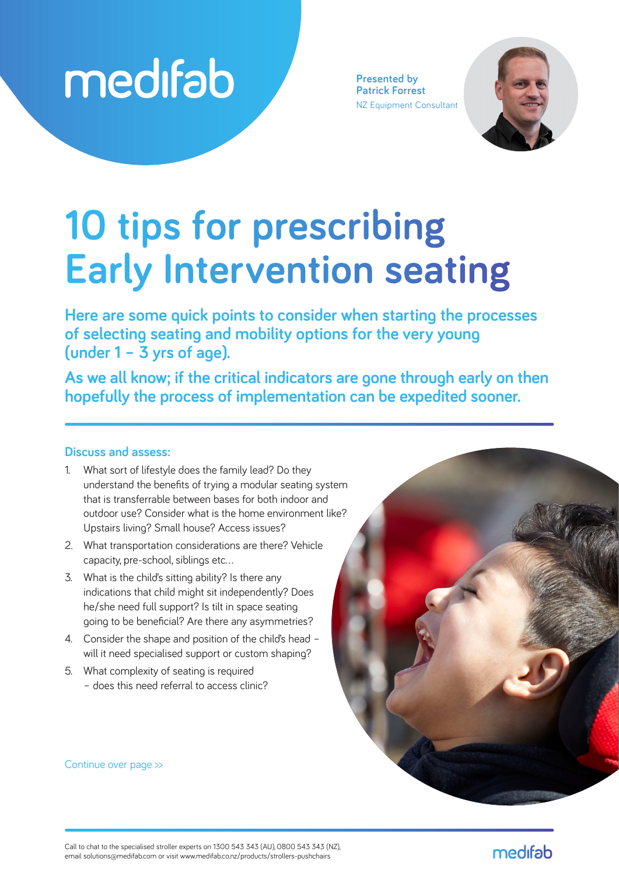

**Presented by Patrick Forrest** NZ Equipment Consultant



# **10 tips for prescribing Early Intervention seating**

**Here are some quick points to consider when starting the processes of selecting seating and mobility options for the very young (under 1 – 3 yrs of age).**

**As we all know; if the critical indicators are gone through early on then hopefully the process of implementation can be expedited sooner.**

#### **Discuss and assess:**

- 1. What sort of lifestyle does the family lead? Do they understand the benefits of trying a modular seating system that is transferrable between bases for both indoor and outdoor use? Consider what is the home environment like? Upstairs living? Small house? Access issues?
- 2. What transportation considerations are there? Vehicle capacity, pre-school, siblings etc…
- 3. What is the child's sitting ability? Is there any indications that child might sit independently? Does he/she need full support? Is tilt in space seating going to be beneficial? Are there any asymmetries?
- 4. Consider the shape and position of the child's head will it need specialised support or custom shaping?
- 5. What complexity of seating is required – does this need referral to access clinic?

Continue over page >>